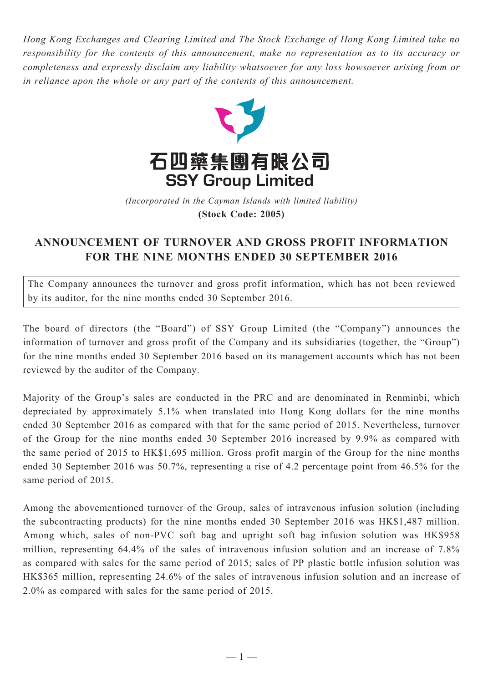*Hong Kong Exchanges and Clearing Limited and The Stock Exchange of Hong Kong Limited take no responsibility for the contents of this announcement, make no representation as to its accuracy or completeness and expressly disclaim any liability whatsoever for any loss howsoever arising from or in reliance upon the whole or any part of the contents of this announcement.*



(Incorporated in the Cayman Islands with limited liability) **(Stock Code: 2005)** *(Incorporated in the Cayman Islands with limited liability)* **(Stock Code: 2005)**

## **ANNOUNCEMENT OF TURNOVER AND GROSS PROFIT INFORMATION FOR THE NINE MONTHS ENDED 30 SEPTEMBER 2016**

The Company announces the turnover and gross profit information, which has not been reviewed by its auditor, for the nine months ended 30 September 2016.

The board of directors (the "Board") of SSY Group Limited (the "Company") announces the information of turnover and gross profit of the Company and its subsidiaries (together, the "Group") for the nine months ended 30 September 2016 based on its management accounts which has not been reviewed by the auditor of the Company.

Majority of the Group's sales are conducted in the PRC and are denominated in Renminbi, which depreciated by approximately 5.1% when translated into Hong Kong dollars for the nine months ended 30 September 2016 as compared with that for the same period of 2015. Nevertheless, turnover of the Group for the nine months ended 30 September 2016 increased by 9.9% as compared with the same period of 2015 to HK\$1,695 million. Gross profit margin of the Group for the nine months ended 30 September 2016 was 50.7%, representing a rise of 4.2 percentage point from 46.5% for the same period of 2015.

Among the abovementioned turnover of the Group, sales of intravenous infusion solution (including the subcontracting products) for the nine months ended 30 September 2016 was HK\$1,487 million. Among which, sales of non-PVC soft bag and upright soft bag infusion solution was HK\$958 million, representing 64.4% of the sales of intravenous infusion solution and an increase of 7.8% as compared with sales for the same period of 2015; sales of PP plastic bottle infusion solution was HK\$365 million, representing 24.6% of the sales of intravenous infusion solution and an increase of 2.0% as compared with sales for the same period of 2015.